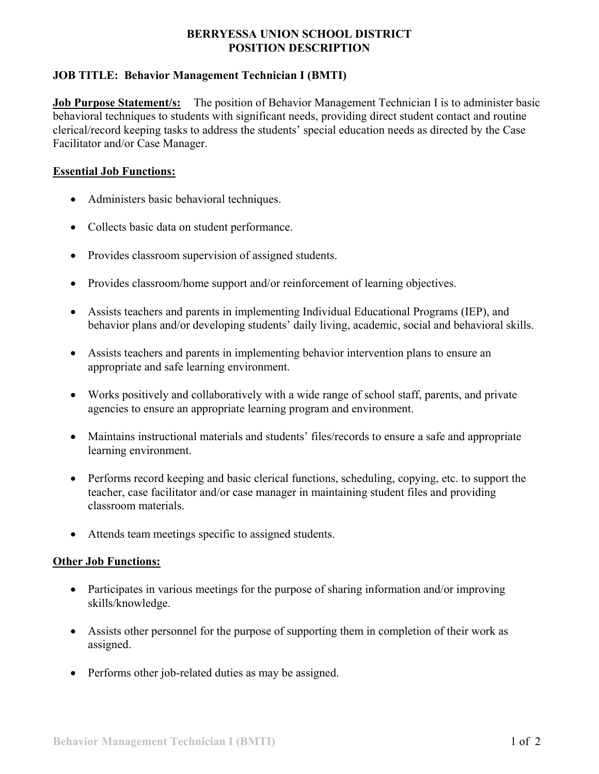### **BERRYESSA UNION SCHOOL DISTRICT POSITION DESCRIPTION**

# **JOB TITLE: Behavior Management Technician I (BMTI)**

**Job Purpose Statement/s:** The position of Behavior Management Technician I is to administer basic behavioral techniques to students with significant needs, providing direct student contact and routine clerical/record keeping tasks to address the students' special education needs as directed by the Case Facilitator and/or Case Manager.

### **Essential Job Functions:**

- Administers basic behavioral techniques.
- Collects basic data on student performance.
- Provides classroom supervision of assigned students.
- Provides classroom/home support and/or reinforcement of learning objectives.
- Assists teachers and parents in implementing Individual Educational Programs (IEP), and behavior plans and/or developing students' daily living, academic, social and behavioral skills.
- Assists teachers and parents in implementing behavior intervention plans to ensure an appropriate and safe learning environment.
- Works positively and collaboratively with a wide range of school staff, parents, and private agencies to ensure an appropriate learning program and environment.
- Maintains instructional materials and students' files/records to ensure a safe and appropriate learning environment.
- Performs record keeping and basic clerical functions, scheduling, copying, etc. to support the teacher, case facilitator and/or case manager in maintaining student files and providing classroom materials.
- Attends team meetings specific to assigned students.

## **Other Job Functions:**

- Participates in various meetings for the purpose of sharing information and/or improving skills/knowledge.
- Assists other personnel for the purpose of supporting them in completion of their work as assigned.
- Performs other job-related duties as may be assigned.